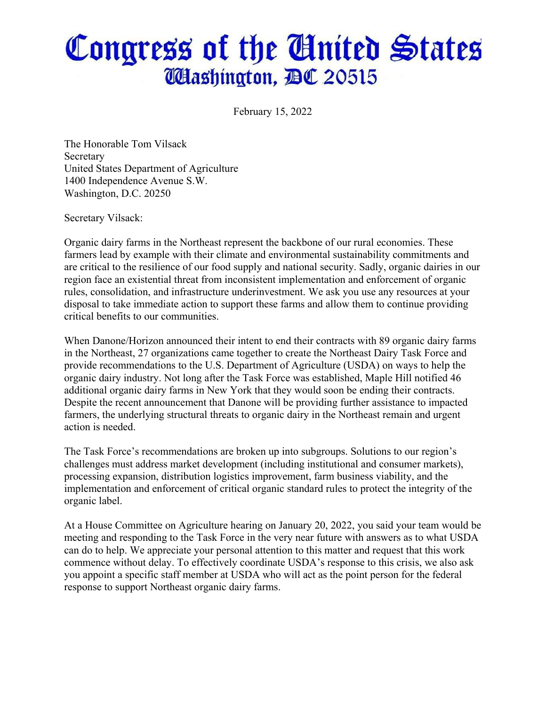## Congress of the United States **Washington, BC 20515**

February 15, 2022

The Honorable Tom Vilsack Secretary United States Department of Agriculture 1400 Independence Avenue S.W. Washington, D.C. 20250

Secretary Vilsack:

Organic dairy farms in the Northeast represent the backbone of our rural economies. These farmers lead by example with their climate and environmental sustainability commitments and are critical to the resilience of our food supply and national security. Sadly, organic dairies in our region face an existential threat from inconsistent implementation and enforcement of organic rules, consolidation, and infrastructure underinvestment. We ask you use any resources at your disposal to take immediate action to support these farms and allow them to continue providing critical benefits to our communities.

When Danone/Horizon announced their intent to end their contracts with 89 organic dairy farms in the Northeast, 27 organizations came together to create the Northeast Dairy Task Force and provide recommendations to the U.S. Department of Agriculture (USDA) on ways to help the organic dairy industry. Not long after the Task Force was established, Maple Hill notified 46 additional organic dairy farms in New York that they would soon be ending their contracts. Despite the recent announcement that Danone will be providing further assistance to impacted farmers, the underlying structural threats to organic dairy in the Northeast remain and urgent action is needed.

The Task Force's recommendations are broken up into subgroups. Solutions to our region's challenges must address market development (including institutional and consumer markets), processing expansion, distribution logistics improvement, farm business viability, and the implementation and enforcement of critical organic standard rules to protect the integrity of the organic label.

At a House Committee on Agriculture hearing on January 20, 2022, you said your team would be meeting and responding to the Task Force in the very near future with answers as to what USDA can do to help. We appreciate your personal attention to this matter and request that this work commence without delay. To effectively coordinate USDA's response to this crisis, we also ask you appoint a specific staff member at USDA who will act as the point person for the federal response to support Northeast organic dairy farms.